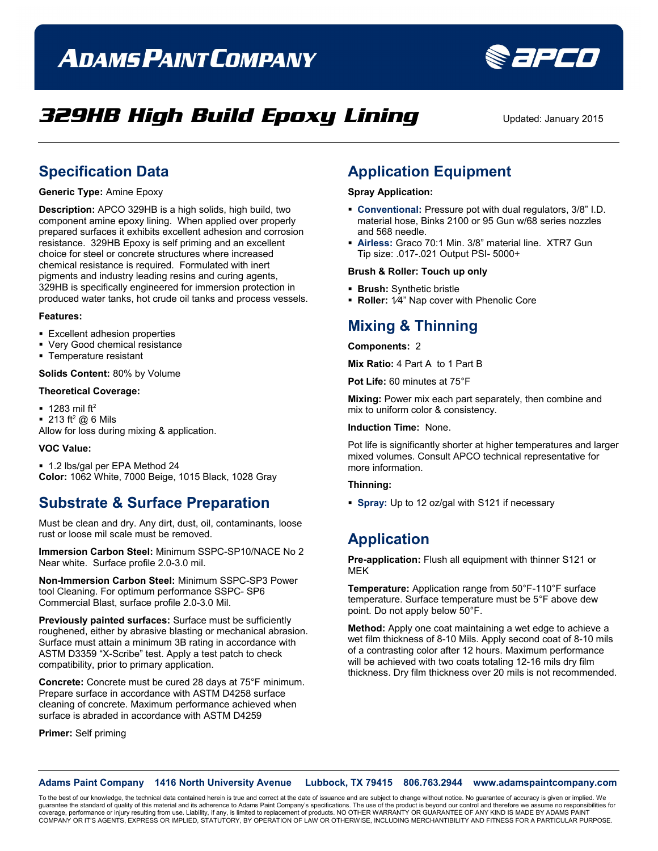# **ADAMS PAINT COMPANY**



# **329HB High Build Epoxy Lining Expandition Conduct Updated: January 2015**

## **Specification Data**

**Generic Type:** Amine Epoxy

**Description:** APCO 329HB is a high solids, high build, two component amine epoxy lining. When applied over properly prepared surfaces it exhibits excellent adhesion and corrosion resistance. 329HB Epoxy is self priming and an excellent choice for steel or concrete structures where increased chemical resistance is required. Formulated with inert pigments and industry leading resins and curing agents, 329HB is specifically engineered for immersion protection in produced water tanks, hot crude oil tanks and process vessels.

#### **Features:**

- **Excellent adhesion properties**
- Very Good chemical resistance
- **Temperature resistant**

#### **Solids Content:** 80% by Volume

#### **Theoretical Coverage:**

- $\blacksquare$  1283 mil ft<sup>2</sup>
- $\blacksquare$  213 ft $^2$  @ 6 Mils
- Allow for loss during mixing & application.

#### **VOC Value:**

 1.2 lbs/gal per EPA Method 24 **Color:** 1062 White, 7000 Beige, 1015 Black, 1028 Gray

## **Substrate & Surface Preparation**

Must be clean and dry. Any dirt, dust, oil, contaminants, loose rust or loose mil scale must be removed.

**Immersion Carbon Steel:** Minimum SSPC-SP10/NACE No 2 Near white. Surface profile 2.0-3.0 mil.

**Non-Immersion Carbon Steel:** Minimum SSPC-SP3 Power tool Cleaning. For optimum performance SSPC- SP6 Commercial Blast, surface profile 2.0-3.0 Mil.

**Previously painted surfaces:** Surface must be sufficiently roughened, either by abrasive blasting or mechanical abrasion. Surface must attain a minimum 3B rating in accordance with ASTM D3359 "X-Scribe" test. Apply a test patch to check compatibility, prior to primary application.

**Concrete:** Concrete must be cured 28 days at 75°F minimum. Prepare surface in accordance with ASTM D4258 surface cleaning of concrete. Maximum performance achieved when surface is abraded in accordance with ASTM D4259

**Primer:** Self priming

# **Application Equipment**

#### **Spray Application:**

- **Conventional:** Pressure pot with dual regulators, 3/8" I.D. material hose, Binks 2100 or 95 Gun w/68 series nozzles and 568 needle.
- **Airless:** Graco 70:1 Min. 3/8" material line. XTR7 Gun Tip size: .017-.021 Output PSI- 5000+

#### **Brush & Roller: Touch up only**

- **Brush:** Synthetic bristle
- **Roller:** 1⁄4" Nap cover with Phenolic Core

# **Mixing & Thinning**

#### **Components:** 2

**Mix Ratio:** 4 Part A to 1 Part B

**Pot Life:** 60 minutes at 75°F

**Mixing:** Power mix each part separately, then combine and mix to uniform color & consistency.

#### **Induction Time:** None.

Pot life is significantly shorter at higher temperatures and larger mixed volumes. Consult APCO technical representative for more information.

#### **Thinning:**

**Spray:** Up to 12 oz/gal with S121 if necessary

## **Application**

**Pre-application:** Flush all equipment with thinner S121 or MEK

**Temperature:** Application range from 50°F-110°F surface temperature. Surface temperature must be 5°F above dew point. Do not apply below 50°F.

**Method:** Apply one coat maintaining a wet edge to achieve a wet film thickness of 8-10 Mils. Apply second coat of 8-10 mils of a contrasting color after 12 hours. Maximum performance will be achieved with two coats totaling 12-16 mils dry film thickness. Dry film thickness over 20 mils is not recommended.

**Adams Paint Company 1416 North University Avenue Lubbock, TX 79415 806.763.2944 www.adamspaintcompany.com**

To the best of our knowledge, the technical data contained herein is true and correct at the date of issuance and are subject to change without notice. No guarantee of accuracy is given or implied. We<br>quarantee the standar guarantee the standard of quality of this material and its adherence to Adams Paint Company's specifications. The use of the product is beyond our control and therefore we as coverage, performance or injury resulting from use. Liability, if any, is limited to replacement of products. NO OTHER WARRANTY OR GUARANTEE OF ANY KIND IS MADE BY ADAMS PAINT<br>COMPANY OR IT'S AGENTS, EXPRESS OR IMPLIED, ST